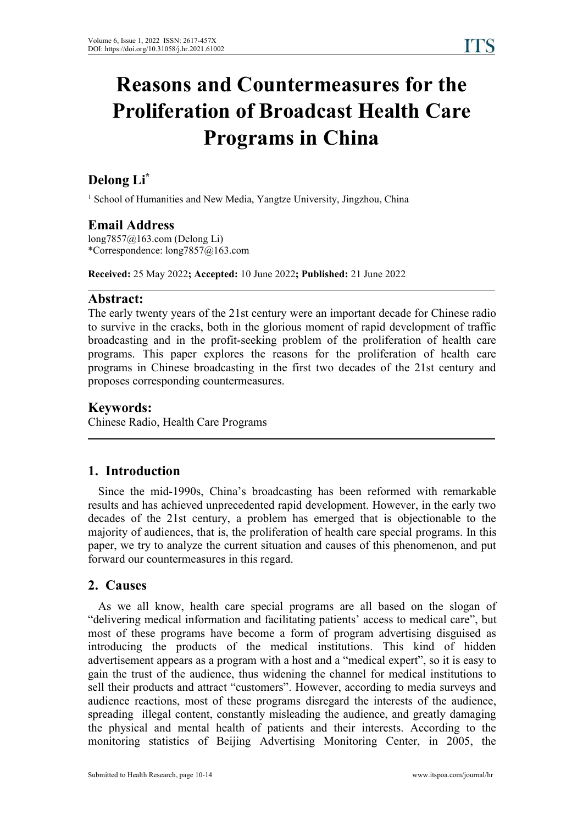# **Reasons and Countermeasures for the Proliferation of Broadcast Health Care Programs in China**

## **Delong Li\***

<sup>1</sup> School of Humanities and New Media, Yangtze University, Jingzhou, China

## **Email Address**

long7857@163.com (Delong Li) \*Correspondence: long7857@163.com

**Received:** 25 May 2022**; Accepted:** 10 June 2022**; Published:** 21 June 2022

## **Abstract:**

The early twenty years of the 21st century were an important decade for Chinese radio to survive in the cracks, both in the glorious moment of rapid development of traffic broadcasting and in the profit-seeking problem of the proliferation of health care programs. This paper explores the reasons for the proliferation of health care programs in Chinese broadcasting in the first two decades of the 21st century and proposes corresponding countermeasures.

## **Keywords:**

Chinese Radio, Health Care Programs

## **1. Introduction**

Since the mid-1990s, China's broadcasting has been reformed with remarkable results and has achieved unprecedented rapid development. However, in the early two decades of the 21st century, a problem has emerged that is objectionable to the majority of audiences, that is, the proliferation of health care special programs. In this paper, we try to analyze the current situation and causes of this phenomenon, and put forward our countermeasures in this regard.

## **2. Causes**

As we all know, health care special programs are all based on the slogan of "delivering medical information and facilitating patients' access to medical care", but most of these programs have become a form of program advertising disguised as introducing the products of the medical institutions. This kind of hidden advertisement appears as a program with a host and a "medical expert", so it is easy to gain the trust of the audience, thus widening the channel for medical institutions to sell their products and attract "customers". However, according to media surveys and audience reactions, most of these programs disregard the interests of the audience, spreading illegal content, constantly misleading the audience, and greatly damaging the physical and mental health of patients and their interests. According to the monitoring statistics of Beijing Advertising Monitoring Center, in 2005, the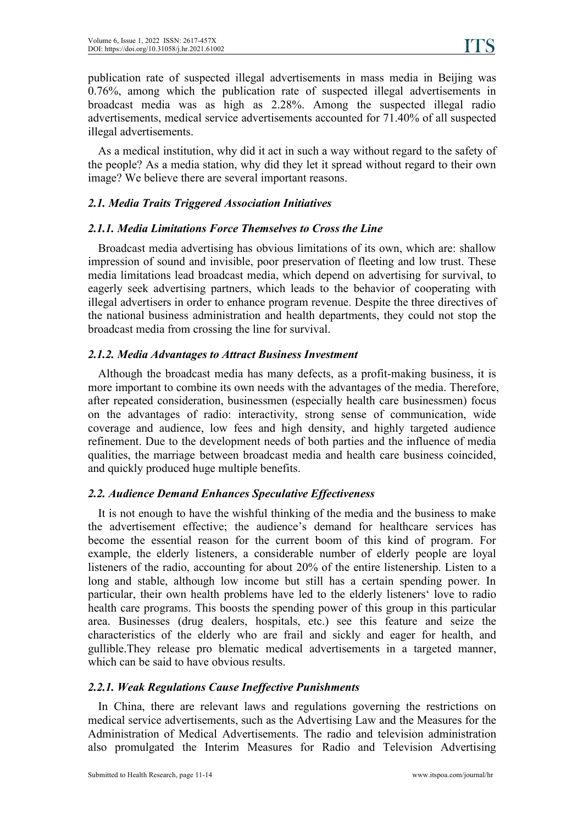publication rate of suspected illegal advertisements in mass media in Beijing was 0.76%, among which the publication rate of suspected illegal advertisements in broadcast media was as high as 2.28%. Among the suspected illegal radio advertisements, medical service advertisements accounted for 71.40% of all suspected illegal advertisements.

As a medical institution, why did it act in such a way without regard to the safety of the people? As a media station, why did they let it spread without regard to their own image? We believe there are several important reasons.

#### *2.1. Media Traits Triggered Association Initiatives*

#### *2.1.1. Media Limitations Force Themselves to Cross the Line*

Broadcast media advertising has obvious limitations of its own, which are: shallow impression of sound and invisible, poor preservation of fleeting and low trust. These media limitations lead broadcast media, which depend on advertising for survival, to eagerly seek advertising partners, which leads to the behavior of cooperating with illegal advertisers in order to enhance program revenue. Despite the three directives of the national business administration and health departments, they could not stop the broadcast media from crossing the line for survival.

#### *2.1.2. Media Advantages to Attract Business Investment*

Although the broadcast media has many defects, as a profit-making business, it is more important to combine its own needs with the advantages of the media. Therefore, after repeated consideration, businessmen (especially health care businessmen) focus on the advantages of radio: interactivity, strong sense of communication, wide coverage and audience, low fees and high density, and highly targeted audience refinement. Due to the development needs of both parties and the influence of media qualities, the marriage between broadcast media and health care business coincided, and quickly produced huge multiple benefits.

#### *2.2. Audience Demand Enhances Speculative Ef ectiveness*

It is not enough to have the wishful thinking of the media and the business to make the advertisement effective; the audience's demand for healthcare services has become the essential reason for the current boom of this kind of program. For example, the elderly listeners, a considerable number of elderly people are loyal listeners of the radio, accounting for about 20% of the entire listenership. Listen to a long and stable, although low income but still has a certain spending power. In particular, their own health problems have led to the elderly listeners' love to radio health care programs. This boosts the spending power of this group in this particular area. Businesses (drug dealers, hospitals, etc.) see this feature and seize the characteristics of the elderly who are frail and sickly and eager for health, and gullible.They release pro blematic medical advertisements in a targeted manner, which can be said to have obvious results.

#### *2.2.1. Weak Regulations Cause Inef ective Punishments*

In China, there are relevant laws and regulations governing the restrictions on medical service advertisements, such as the Advertising Law and the Measures for the Administration of Medical Advertisements. The radio and television administration also promulgated the Interim Measures for Radio and Television Advertising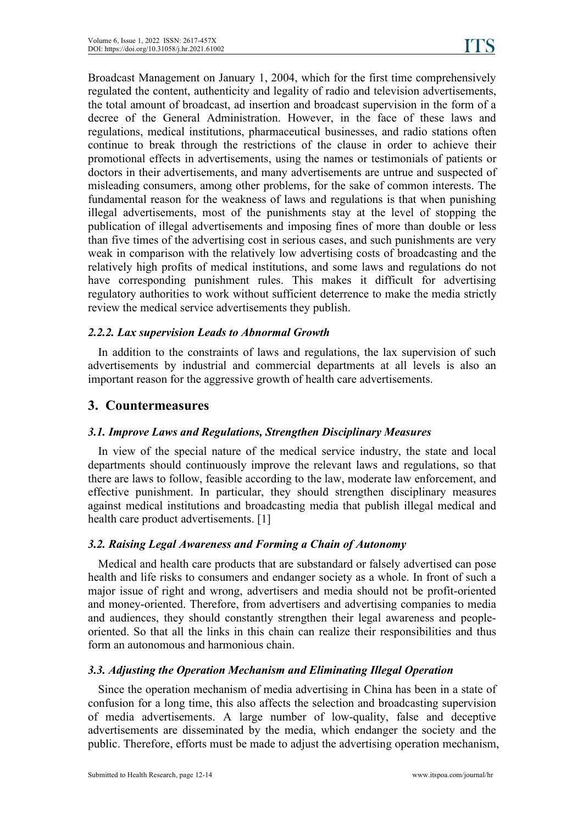Broadcast Management on January 1, 2004, which for the first time comprehensively regulated the content, authenticity and legality of radio and television advertisements, the total amount of broadcast, ad insertion and broadcast supervision in the form of a decree of the General Administration. However, in the face of these laws and regulations, medical institutions, pharmaceutical businesses, and radio stations often continue to break through the restrictions of the clause in order to achieve their promotional effects in advertisements, using the names or testimonials of patients or doctors in their advertisements, and many advertisements are untrue and suspected of misleading consumers, among other problems, for the sake of common interests. The fundamental reason for the weakness of laws and regulations is that when punishing illegal advertisements, most of the punishments stay at the level of stopping the publication of illegal advertisements and imposing fines of more than double or less than five times of the advertising cost in serious cases, and such punishments are very weak in comparison with the relatively low advertising costs of broadcasting and the relatively high profits of medical institutions, and some laws and regulations do not have corresponding punishment rules. This makes it difficult for advertising regulatory authorities to work without sufficient deterrence to make the media strictly review the medical service advertisements they publish.

#### *2.2.2. Lax supervision Leads to Abnormal Growth*

In addition to the constraints of laws and regulations, the lax supervision of such advertisements by industrial and commercial departments at all levels is also an important reason for the aggressive growth of health care advertisements.

## **3. Countermeasures**

#### *3.1. Improve Laws and Regulations, Strengthen Disciplinary Measures*

In view of the special nature of the medical service industry, the state and local departments should continuously improve the relevant laws and regulations, so that there are laws to follow, feasible according to the law, moderate law enforcement, and effective punishment. In particular, they should strengthen disciplinary measures against medical institutions and broadcasting media that publish illegal medical and health care product advertisements. [1]

#### *3.2. Raising Legal Awareness and Forming a Chain of Autonomy*

Medical and health care products that are substandard or falsely advertised can pose health and life risks to consumers and endanger society as a whole. In front of such a major issue of right and wrong, advertisers and media should not be profit-oriented and money-oriented. Therefore, from advertisers and advertising companies to media and audiences, they should constantly strengthen their legal awareness and people oriented. So that all the links in this chain can realize their responsibilities and thus form an autonomous and harmonious chain.

#### *3.3. Adjusting the Operation Mechanism and Eliminating Illegal Operation*

Since the operation mechanism of media advertising in China has been in a state of confusion for a long time, this also affects the selection and broadcasting supervision of media advertisements. A large number of low-quality, false and deceptive advertisements are disseminated by the media, which endanger the society and the public. Therefore, efforts must be made to adjust the advertising operation mechanism,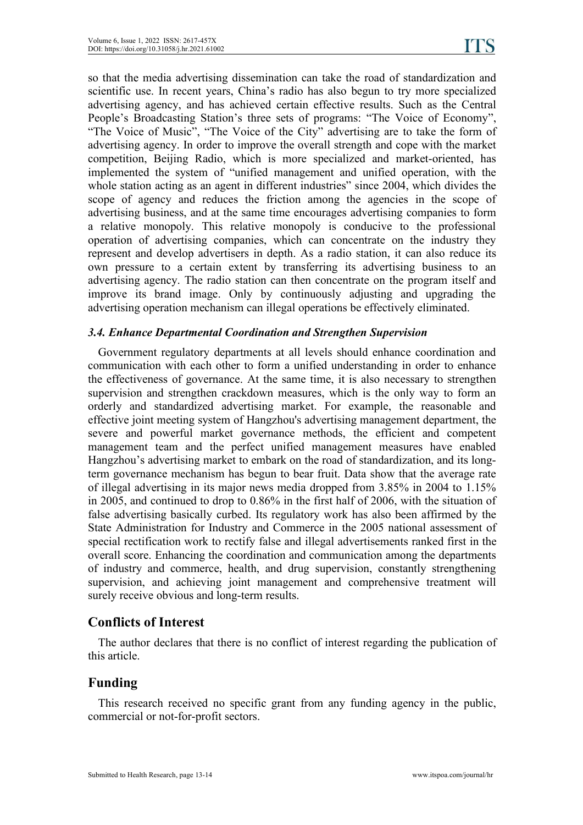so that the media advertising dissemination can take the road of standardization and scientific use. In recent years, China's radio has also begun to try more specialized advertising agency, and has achieved certain effective results. Such as the Central People's Broadcasting Station's three sets of programs: "The Voice of Economy", "The Voice of Music", "The Voice of the City" advertising are to take the form of advertising agency. In order to improve the overall strength and cope with the market competition, Beijing Radio, which is more specialized and market-oriented, has implemented the system of "unified management and unified operation, with the whole station acting as an agent in different industries" since 2004, which divides the scope of agency and reduces the friction among the agencies in the scope of advertising business, and at the same time encourages advertising companies to form a relative monopoly. This relative monopoly is conducive to the professional operation of advertising companies, which can concentrate on the industry they represent and develop advertisers in depth. As a radio station, it can also reduce its own pressure to acertain extent by transferring its advertising business to an advertising agency. The radio station can then concentrate on the program itself and improve its brand image. Only by continuously adjusting and upgrading the advertising operation mechanism can illegal operations be effectively eliminated.

#### *3.4. Enhance Departmental Coordination and Strengthen Supervision*

Government regulatory departments at all levels should enhance coordination and communication with each other to form a unified understanding in order to enhance the effectiveness of governance. At the same time, it is also necessary to strengthen supervision and strengthen crackdown measures, which is the only way to form an orderly and standardized advertising market. For example, the reasonable and effective joint meeting system of Hangzhou's advertising management department, the severe and powerful market governance methods, the efficient and competent management team and the perfect unified management measures have enabled Hangzhou's advertising market to embark on the road of standardization, and its longterm governance mechanism has begun to bearfruit. Data show that the average rate of illegal advertising in its major news media dropped from 3.85% in 2004 to 1.15% in 2005, and continued to drop to 0.86% in the first half of 2006, with the situation of false advertising basically curbed. Its regulatory work has also been affirmed by the State Administration for Industry and Commerce in the 2005 national assessment of special rectification work to rectify false and illegal advertisements ranked first in the overall score. Enhancing the coordination and communication among the departments of industry and commerce, health, and drug supervision, constantly strengthening supervision, and achieving joint management and comprehensive treatment will surely receive obvious and long-term results.

#### **Conflicts of Interest**

The author declares that there is no conflict of interest regarding the publication of this article.

## **Funding**

This research received no specific grant from any funding agency in the public, commercial or not-for-profit sectors.